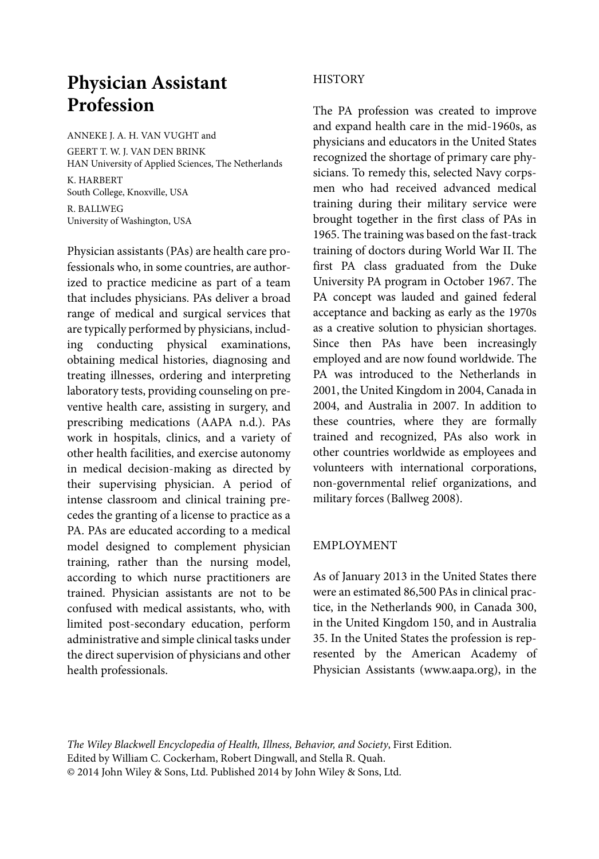# **Physician Assistant Profession**

ANNEKE I. A. H. VAN VUGHT and

GEERT T. W. J. VAN DEN BRINK HAN University of Applied Sciences, The Netherlands K. HARBERT South College, Knoxville, USA R. BALLWEG University of Washington, USA

Physician assistants (PAs) are health care professionals who, in some countries, are authorized to practice medicine as part of a team that includes physicians. PAs deliver a broad range of medical and surgical services that are typically performed by physicians, including conducting physical examinations, obtaining medical histories, diagnosing and treating illnesses, ordering and interpreting laboratory tests, providing counseling on preventive health care, assisting in surgery, and prescribing medications (AAPA n.d.). PAs work in hospitals, clinics, and a variety of other health facilities, and exercise autonomy in medical decision-making as directed by their supervising physician. A period of intense classroom and clinical training precedes the granting of a license to practice as a PA. PAs are educated according to a medical model designed to complement physician training, rather than the nursing model, according to which nurse practitioners are trained. Physician assistants are not to be confused with medical assistants, who, with limited post-secondary education, perform administrative and simple clinical tasks under the direct supervision of physicians and other health professionals.

## **HISTORY**

The PA profession was created to improve and expand health care in the mid-1960s, as physicians and educators in the United States recognized the shortage of primary care physicians. To remedy this, selected Navy corpsmen who had received advanced medical training during their military service were brought together in the first class of PAs in 1965. The training was based on the fast-track training of doctors during World War II. The first PA class graduated from the Duke University PA program in October 1967. The PA concept was lauded and gained federal acceptance and backing as early as the 1970s as a creative solution to physician shortages. Since then PAs have been increasingly employed and are now found worldwide. The PA was introduced to the Netherlands in 2001, the United Kingdom in 2004, Canada in 2004, and Australia in 2007. In addition to these countries, where they are formally trained and recognized, PAs also work in other countries worldwide as employees and volunteers with international corporations, non-governmental relief organizations, and military forces (Ballweg 2008).

## EMPLOYMENT

As of January 2013 in the United States there were an estimated 86,500 PAs in clinical practice, in the Netherlands 900, in Canada 300, in the United Kingdom 150, and in Australia 35. In the United States the profession is represented by the American Academy of Physician Assistants (www.aapa.org), in the

*The Wiley Blackwell Encyclopedia of Health, Illness, Behavior, and Society*, First Edition. Edited by William C. Cockerham, Robert Dingwall, and Stella R. Quah. © 2014 John Wiley & Sons, Ltd. Published 2014 by John Wiley & Sons, Ltd.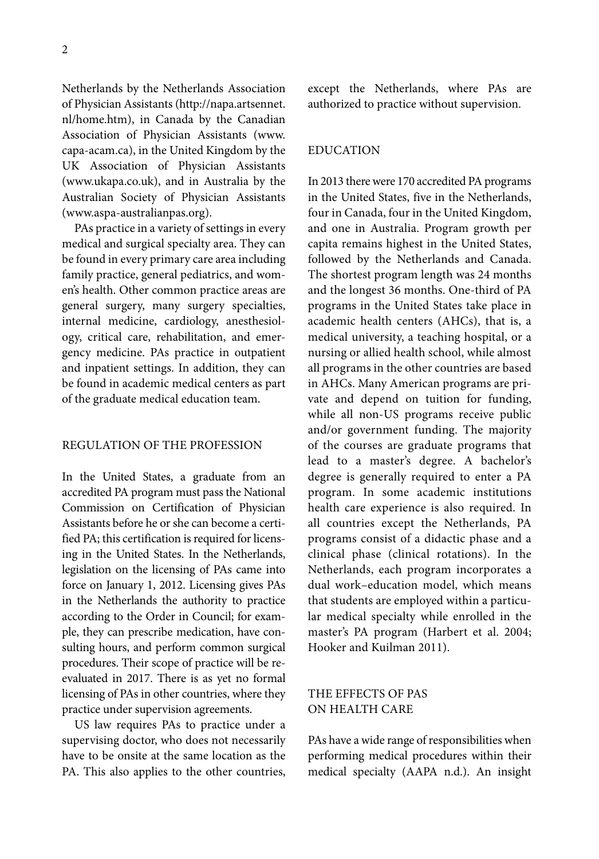Netherlands by the Netherlands Association of Physician Assistants (http://napa.artsennet. nl/home.htm), in Canada by the Canadian Association of Physician Assistants (www. capa-acam.ca), in the United Kingdom by the UK Association of Physician Assistants (www.ukapa.co.uk), and in Australia by the Australian Society of Physician Assistants (www.aspa-australianpas.org).

PAs practice in a variety of settings in every medical and surgical specialty area. They can be found in every primary care area including family practice, general pediatrics, and women's health. Other common practice areas are general surgery, many surgery specialties, internal medicine, cardiology, anesthesiology, critical care, rehabilitation, and emergency medicine. PAs practice in outpatient and inpatient settings. In addition, they can be found in academic medical centers as part of the graduate medical education team.

#### REGULATION OF THE PROFESSION

In the United States, a graduate from an accredited PA program must pass the National Commission on Certification of Physician Assistants before he or she can become a certified PA; this certification is required for licensing in the United States. In the Netherlands, legislation on the licensing of PAs came into force on January 1, 2012. Licensing gives PAs in the Netherlands the authority to practice according to the Order in Council; for example, they can prescribe medication, have consulting hours, and perform common surgical procedures. Their scope of practice will be reevaluated in 2017. There is as yet no formal licensing of PAs in other countries, where they practice under supervision agreements.

US law requires PAs to practice under a supervising doctor, who does not necessarily have to be onsite at the same location as the PA. This also applies to the other countries,

except the Netherlands, where PAs are authorized to practice without supervision.

#### EDUCATION

In 2013 there were 170 accredited PA programs in the United States, five in the Netherlands, four in Canada, four in the United Kingdom, and one in Australia. Program growth per capita remains highest in the United States, followed by the Netherlands and Canada. The shortest program length was 24 months and the longest 36 months. One-third of PA programs in the United States take place in academic health centers (AHCs), that is, a medical university, a teaching hospital, or a nursing or allied health school, while almost all programs in the other countries are based in AHCs. Many American programs are private and depend on tuition for funding, while all non-US programs receive public and/or government funding. The majority of the courses are graduate programs that lead to a master's degree. A bachelor's degree is generally required to enter a PA program. In some academic institutions health care experience is also required. In all countries except the Netherlands, PA programs consist of a didactic phase and a clinical phase (clinical rotations). In the Netherlands, each program incorporates a dual work–education model, which means that students are employed within a particular medical specialty while enrolled in the master's PA program (Harbert et al. 2004; Hooker and Kuilman 2011).

### THE EFFECTS OF PAS ON HEALTH CARE

PAs have a wide range of responsibilities when performing medical procedures within their medical specialty (AAPA n.d.). An insight